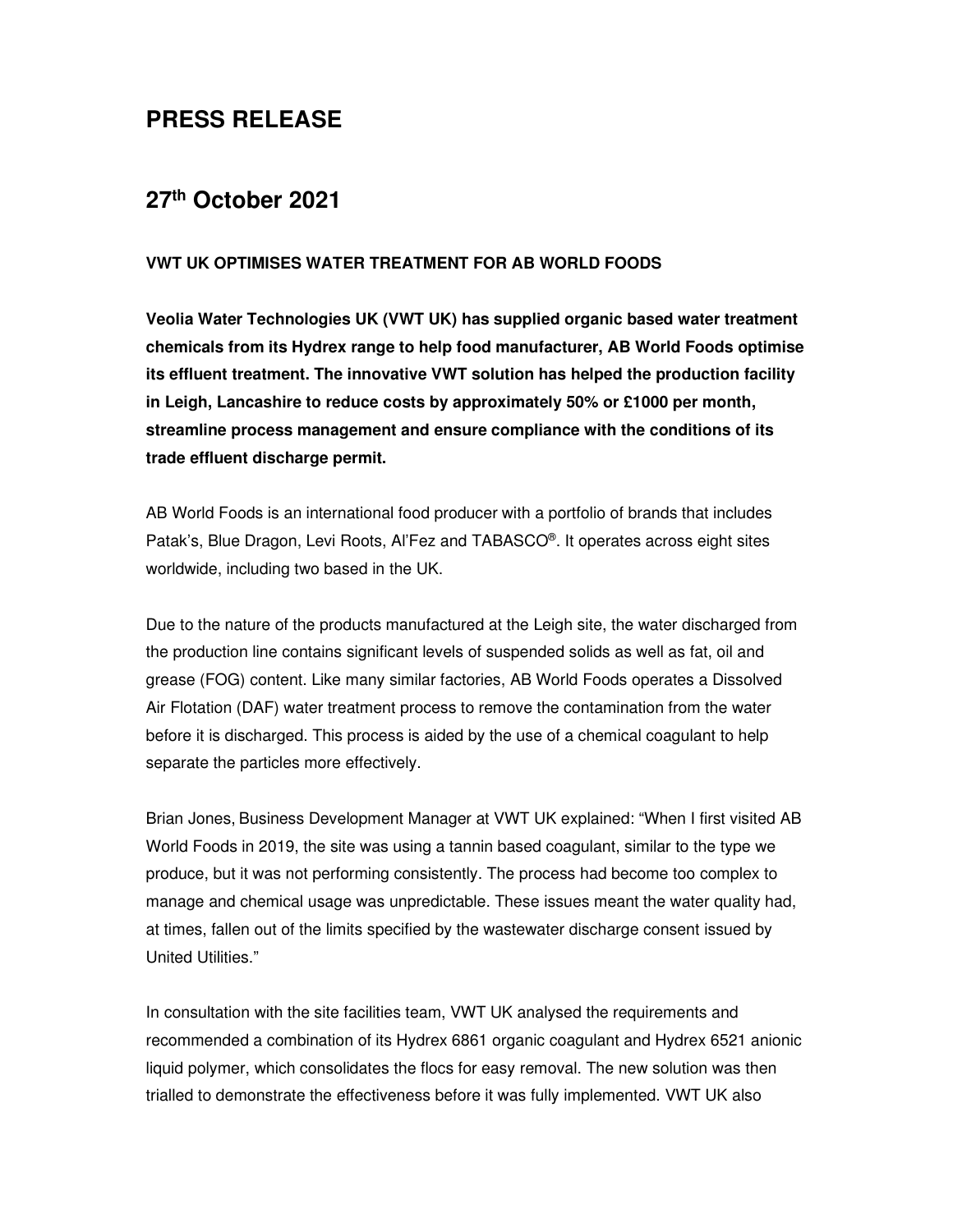## **PRESS RELEASE**

## **27th October 2021**

## **VWT UK OPTIMISES WATER TREATMENT FOR AB WORLD FOODS**

**Veolia Water Technologies UK (VWT UK) has supplied organic based water treatment chemicals from its Hydrex range to help food manufacturer, AB World Foods optimise its effluent treatment. The innovative VWT solution has helped the production facility in Leigh, Lancashire to reduce costs by approximately 50% or £1000 per month, streamline process management and ensure compliance with the conditions of its trade effluent discharge permit.** 

AB World Foods is an international food producer with a portfolio of brands that includes Patak's, Blue Dragon, Levi Roots, Al'Fez and TABASCO® . It operates across eight sites worldwide, including two based in the UK.

Due to the nature of the products manufactured at the Leigh site, the water discharged from the production line contains significant levels of suspended solids as well as fat, oil and grease (FOG) content. Like many similar factories, AB World Foods operates a Dissolved Air Flotation (DAF) water treatment process to remove the contamination from the water before it is discharged. This process is aided by the use of a chemical coagulant to help separate the particles more effectively.

Brian Jones, Business Development Manager at VWT UK explained: "When I first visited AB World Foods in 2019, the site was using a tannin based coagulant, similar to the type we produce, but it was not performing consistently. The process had become too complex to manage and chemical usage was unpredictable. These issues meant the water quality had, at times, fallen out of the limits specified by the wastewater discharge consent issued by United Utilities."

In consultation with the site facilities team, VWT UK analysed the requirements and recommended a combination of its Hydrex 6861 organic coagulant and Hydrex 6521 anionic liquid polymer, which consolidates the flocs for easy removal. The new solution was then trialled to demonstrate the effectiveness before it was fully implemented. VWT UK also